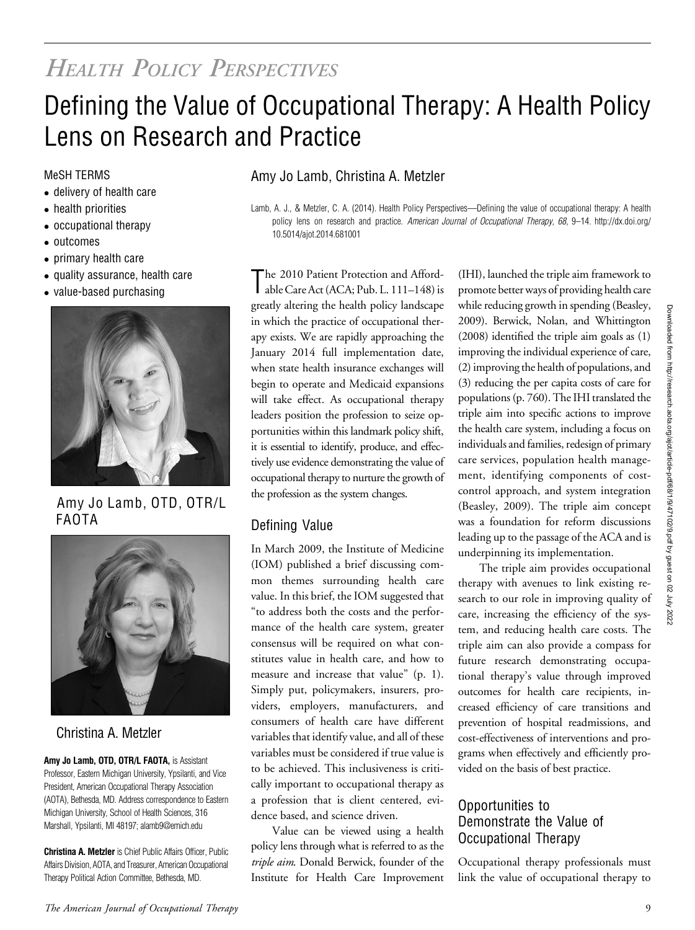# HEALTH POLICY PERSPECTIVES

# Defining the Value of Occupational Therapy: A Health Policy Lens on Research and Practice

- delivery of health care
- health priorities
- occupational therapy
- outcomes
- primary health care
- quality assurance, health care
- value-based purchasing



Amy Jo Lamb, OTD, OTR/L FAOTA



## Christina A. Metzler

Amy Jo Lamb, OTD, OTR/L FAOTA, is Assistant Professor, Eastern Michigan University, Ypsilanti, and Vice President, American Occupational Therapy Association (AOTA), Bethesda, MD. Address correspondence to Eastern Michigan University, School of Health Sciences, 316 Marshall, Ypsilanti, MI 48197; [alamb9@emich.edu](mailto:alamb9@emich.edu)

Christina A. Metzler is Chief Public Affairs Officer, Public Affairs Division, AOTA, and Treasurer, American Occupational Therapy Political Action Committee, Bethesda, MD.

### MeSH TERMS **Amy Jo Lamb, Christina A. Metzler**

Lamb, A. J., & Metzler, C. A. (2014). Health Policy Perspectives—Defining the value of occupational therapy: A health policy lens on research and practice. American Journal of Occupational Therapy, 68, 9-14. http://dx.doi.org/ 10.5014/ajot.2014.681001

The 2010 Patient Protection and Afford-<br>able Care Act (ACA; Pub. L. 111–148) is The 2010 Patient Protection and Affordgreatly altering the health policy landscape in which the practice of occupational therapy exists. We are rapidly approaching the January 2014 full implementation date, when state health insurance exchanges will begin to operate and Medicaid expansions will take effect. As occupational therapy leaders position the profession to seize opportunities within this landmark policy shift, it is essential to identify, produce, and effectively use evidence demonstrating the value of occupational therapy to nurture the growth of the profession as the system changes.

## Defining Value

In March 2009, the Institute of Medicine (IOM) published a brief discussing common themes surrounding health care value. In this brief, the IOM suggested that "to address both the costs and the performance of the health care system, greater consensus will be required on what constitutes value in health care, and how to measure and increase that value" (p. 1). Simply put, policymakers, insurers, providers, employers, manufacturers, and consumers of health care have different variables that identify value, and all of these variables must be considered if true value is to be achieved. This inclusiveness is critically important to occupational therapy as a profession that is client centered, evidence based, and science driven.

Value can be viewed using a health policy lens through what is referred to as the triple aim. Donald Berwick, founder of the Institute for Health Care Improvement

(IHI), launched the triple aim framework to promote better ways of providing health care while reducing growth in spending (Beasley, 2009). Berwick, Nolan, and Whittington (2008) identified the triple aim goals as (1) improving the individual experience of care, (2) improving the health of populations, and (3) reducing the per capita costs of care for populations (p. 760). The IHI translated the triple aim into specific actions to improve the health care system, including a focus on individuals and families, redesign of primary care services, population health management, identifying components of costcontrol approach, and system integration (Beasley, 2009). The triple aim concept was a foundation for reform discussions leading up to the passage of the ACA and is underpinning its implementation.

The triple aim provides occupational therapy with avenues to link existing research to our role in improving quality of care, increasing the efficiency of the system, and reducing health care costs. The triple aim can also provide a compass for future research demonstrating occupational therapy's value through improved outcomes for health care recipients, increased efficiency of care transitions and prevention of hospital readmissions, and cost-effectiveness of interventions and programs when effectively and efficiently provided on the basis of best practice.

#### Opportunities to Demonstrate the Value of Occupational Therapy

Occupational therapy professionals must link the value of occupational therapy to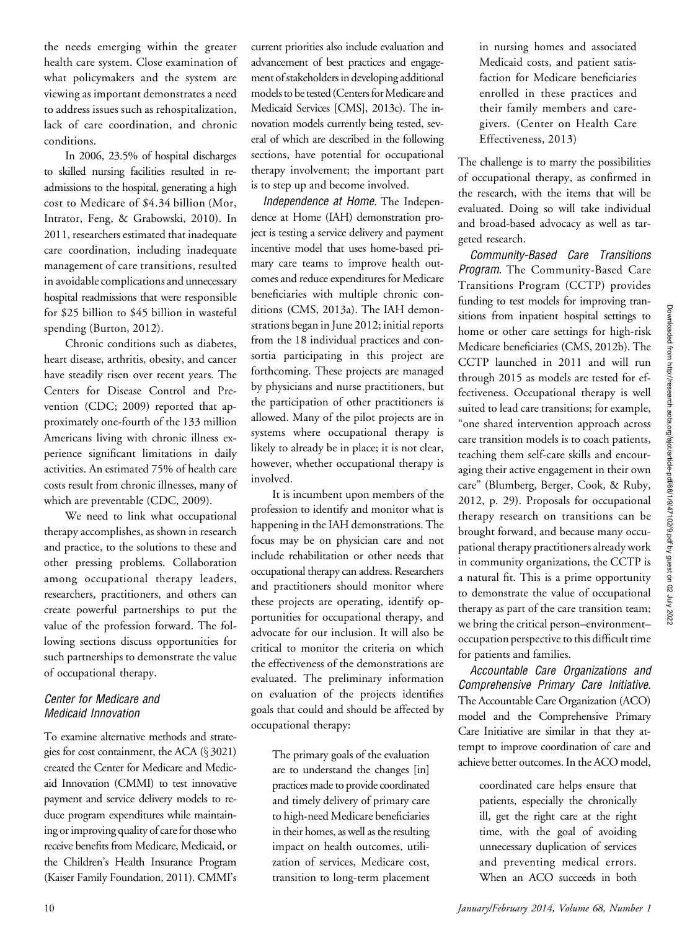the needs emerging within the greater health care system. Close examination of what policymakers and the system are viewing as important demonstrates a need to address issues such as rehospitalization, lack of care coordination, and chronic conditions.

In 2006, 23.5% of hospital discharges to skilled nursing facilities resulted in readmissions to the hospital, generating a high cost to Medicare of \$4.34 billion (Mor, Intrator, Feng, & Grabowski, 2010). In 2011, researchers estimated that inadequate care coordination, including inadequate management of care transitions, resulted in avoidable complications and unnecessary hospital readmissions that were responsible for \$25 billion to \$45 billion in wasteful spending (Burton, 2012).

Chronic conditions such as diabetes, heart disease, arthritis, obesity, and cancer have steadily risen over recent years. The Centers for Disease Control and Prevention (CDC; 2009) reported that approximately one-fourth of the 133 million Americans living with chronic illness experience significant limitations in daily activities. An estimated 75% of health care costs result from chronic illnesses, many of which are preventable (CDC, 2009).

We need to link what occupational therapy accomplishes, as shown in research and practice, to the solutions to these and other pressing problems. Collaboration among occupational therapy leaders, researchers, practitioners, and others can create powerful partnerships to put the value of the profession forward. The following sections discuss opportunities for such partnerships to demonstrate the value of occupational therapy.

#### Center for Medicare and Medicaid Innovation

To examine alternative methods and strategies for cost containment, the ACA  $(\S 3021)$ created the Center for Medicare and Medicaid Innovation (CMMI) to test innovative payment and service delivery models to reduce program expenditures while maintaining or improving quality of care for those who receive benefits from Medicare, Medicaid, or the Children's Health Insurance Program (Kaiser Family Foundation, 2011). CMMI's

current priorities also include evaluation and advancement of best practices and engagement of stakeholders in developing additional models to be tested (Centers for Medicare and Medicaid Services [CMS], 2013c). The innovation models currently being tested, several of which are described in the following sections, have potential for occupational therapy involvement; the important part is to step up and become involved.

Independence at Home. The Independence at Home (IAH) demonstration project is testing a service delivery and payment incentive model that uses home-based primary care teams to improve health outcomes and reduce expenditures for Medicare beneficiaries with multiple chronic conditions (CMS, 2013a). The IAH demonstrations began in June 2012; initial reports from the 18 individual practices and consortia participating in this project are forthcoming. These projects are managed by physicians and nurse practitioners, but the participation of other practitioners is allowed. Many of the pilot projects are in systems where occupational therapy is likely to already be in place; it is not clear, however, whether occupational therapy is involved.

It is incumbent upon members of the profession to identify and monitor what is happening in the IAH demonstrations. The focus may be on physician care and not include rehabilitation or other needs that occupational therapy can address. Researchers and practitioners should monitor where these projects are operating, identify opportunities for occupational therapy, and advocate for our inclusion. It will also be critical to monitor the criteria on which the effectiveness of the demonstrations are evaluated. The preliminary information on evaluation of the projects identifies goals that could and should be affected by occupational therapy:

The primary goals of the evaluation are to understand the changes [in] practices made to provide coordinated and timely delivery of primary care to high-need Medicare beneficiaries in their homes, as well as the resulting impact on health outcomes, utilization of services, Medicare cost, transition to long-term placement

in nursing homes and associated Medicaid costs, and patient satisfaction for Medicare beneficiaries enrolled in these practices and their family members and caregivers. (Center on Health Care Effectiveness, 2013)

The challenge is to marry the possibilities of occupational therapy, as confirmed in the research, with the items that will be evaluated. Doing so will take individual and broad-based advocacy as well as targeted research.

Community-Based Care Transitions Program. The Community-Based Care Transitions Program (CCTP) provides funding to test models for improving transitions from inpatient hospital settings to home or other care settings for high-risk Medicare beneficiaries (CMS, 2012b). The CCTP launched in 2011 and will run through 2015 as models are tested for effectiveness. Occupational therapy is well suited to lead care transitions; for example, "one shared intervention approach across care transition models is to coach patients, teaching them self-care skills and encouraging their active engagement in their own care" (Blumberg, Berger, Cook, & Ruby, 2012, p. 29). Proposals for occupational therapy research on transitions can be brought forward, and because many occupational therapy practitioners already work in community organizations, the CCTP is a natural fit. This is a prime opportunity to demonstrate the value of occupational therapy as part of the care transition team; we bring the critical person–environment– occupation perspective to this difficult time for patients and families.

Accountable Care Organizations and Comprehensive Primary Care Initiative. The Accountable Care Organization (ACO) model and the Comprehensive Primary Care Initiative are similar in that they attempt to improve coordination of care and achieve better outcomes. In the ACO model,

> coordinated care helps ensure that patients, especially the chronically ill, get the right care at the right time, with the goal of avoiding unnecessary duplication of services and preventing medical errors. When an ACO succeeds in both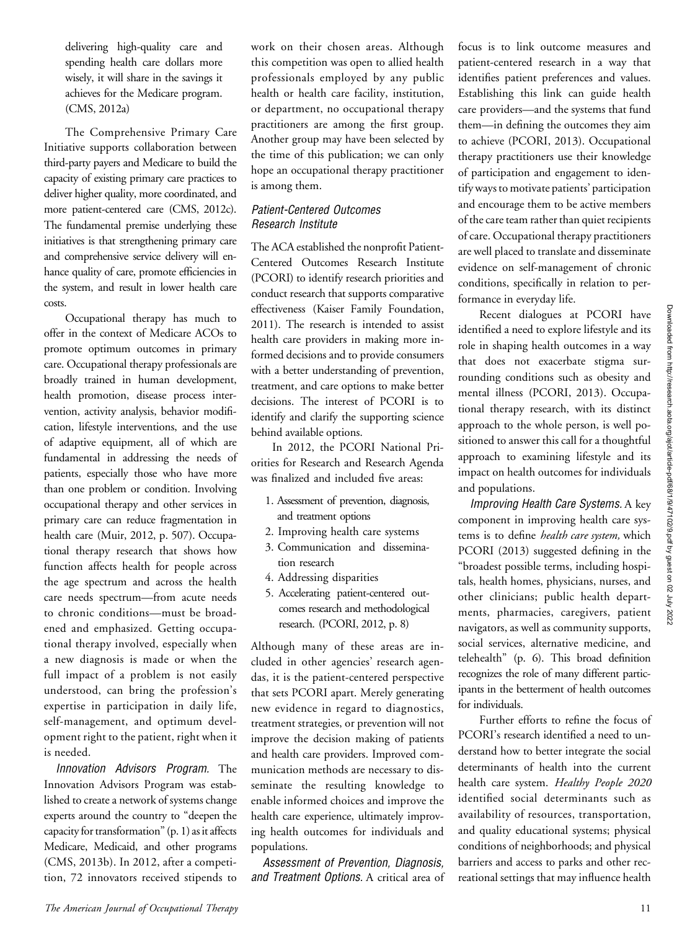delivering high-quality care and spending health care dollars more wisely, it will share in the savings it achieves for the Medicare program. (CMS, 2012a)

The Comprehensive Primary Care Initiative supports collaboration between third-party payers and Medicare to build the capacity of existing primary care practices to deliver higher quality, more coordinated, and more patient-centered care (CMS, 2012c). The fundamental premise underlying these initiatives is that strengthening primary care and comprehensive service delivery will enhance quality of care, promote efficiencies in the system, and result in lower health care costs.

Occupational therapy has much to offer in the context of Medicare ACOs to promote optimum outcomes in primary care. Occupational therapy professionals are broadly trained in human development, health promotion, disease process intervention, activity analysis, behavior modification, lifestyle interventions, and the use of adaptive equipment, all of which are fundamental in addressing the needs of patients, especially those who have more than one problem or condition. Involving occupational therapy and other services in primary care can reduce fragmentation in health care (Muir, 2012, p. 507). Occupational therapy research that shows how function affects health for people across the age spectrum and across the health care needs spectrum—from acute needs to chronic conditions—must be broadened and emphasized. Getting occupational therapy involved, especially when a new diagnosis is made or when the full impact of a problem is not easily understood, can bring the profession's expertise in participation in daily life, self-management, and optimum development right to the patient, right when it is needed.

Innovation Advisors Program. The Innovation Advisors Program was established to create a network of systems change experts around the country to "deepen the capacity for transformation" (p. 1) as it affects Medicare, Medicaid, and other programs (CMS, 2013b). In 2012, after a competition, 72 innovators received stipends to

work on their chosen areas. Although this competition was open to allied health professionals employed by any public health or health care facility, institution, or department, no occupational therapy practitioners are among the first group. Another group may have been selected by the time of this publication; we can only hope an occupational therapy practitioner is among them.

#### Patient-Centered Outcomes Research Institute

The ACA established the nonprofit Patient-Centered Outcomes Research Institute (PCORI) to identify research priorities and conduct research that supports comparative effectiveness (Kaiser Family Foundation, 2011). The research is intended to assist health care providers in making more informed decisions and to provide consumers with a better understanding of prevention, treatment, and care options to make better decisions. The interest of PCORI is to identify and clarify the supporting science behind available options.

In 2012, the PCORI National Priorities for Research and Research Agenda was finalized and included five areas:

- 1. Assessment of prevention, diagnosis, and treatment options
- 2. Improving health care systems
- 3. Communication and dissemination research
- 4. Addressing disparities
- 5. Accelerating patient-centered outcomes research and methodological research. (PCORI, 2012, p. 8)

Although many of these areas are included in other agencies' research agendas, it is the patient-centered perspective that sets PCORI apart. Merely generating new evidence in regard to diagnostics, treatment strategies, or prevention will not improve the decision making of patients and health care providers. Improved communication methods are necessary to disseminate the resulting knowledge to enable informed choices and improve the health care experience, ultimately improving health outcomes for individuals and populations.

Assessment of Prevention, Diagnosis, and Treatment Options. A critical area of

focus is to link outcome measures and patient-centered research in a way that identifies patient preferences and values. Establishing this link can guide health care providers—and the systems that fund them—in defining the outcomes they aim to achieve (PCORI, 2013). Occupational therapy practitioners use their knowledge of participation and engagement to identify ways to motivate patients' participation and encourage them to be active members of the care team rather than quiet recipients of care. Occupational therapy practitioners are well placed to translate and disseminate evidence on self-management of chronic conditions, specifically in relation to performance in everyday life.

Recent dialogues at PCORI have identified a need to explore lifestyle and its role in shaping health outcomes in a way that does not exacerbate stigma surrounding conditions such as obesity and mental illness (PCORI, 2013). Occupational therapy research, with its distinct approach to the whole person, is well positioned to answer this call for a thoughtful approach to examining lifestyle and its impact on health outcomes for individuals and populations.

Improving Health Care Systems. A key component in improving health care systems is to define *health care system*, which PCORI (2013) suggested defining in the "broadest possible terms, including hospitals, health homes, physicians, nurses, and other clinicians; public health departments, pharmacies, caregivers, patient navigators, as well as community supports, social services, alternative medicine, and telehealth" (p. 6). This broad definition recognizes the role of many different participants in the betterment of health outcomes for individuals.

Further efforts to refine the focus of PCORI's research identified a need to understand how to better integrate the social determinants of health into the current health care system. Healthy People 2020 identified social determinants such as availability of resources, transportation, and quality educational systems; physical conditions of neighborhoods; and physical barriers and access to parks and other recreational settings that may influence health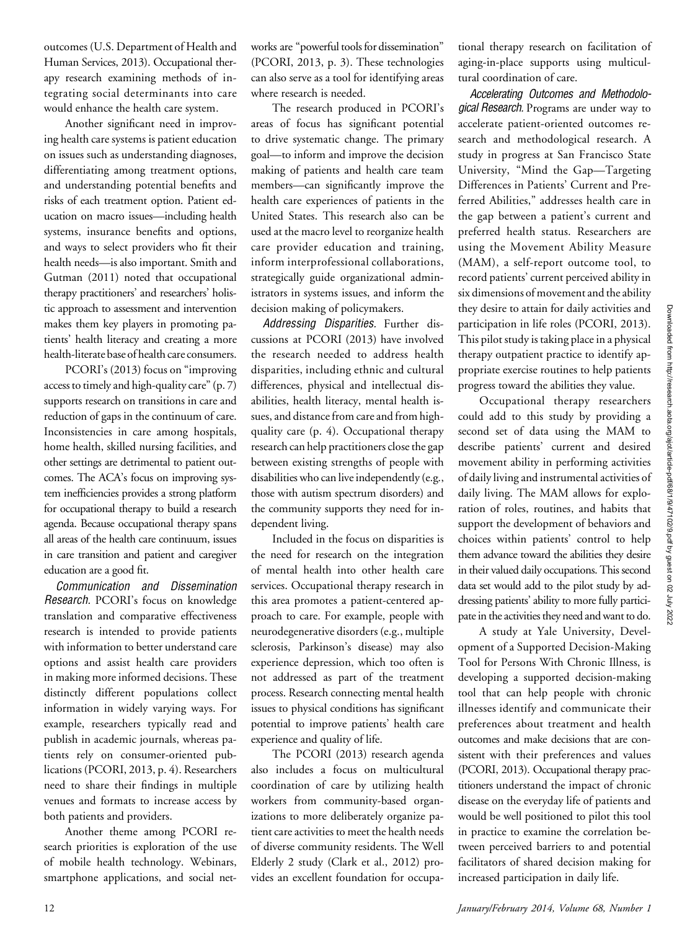outcomes (U.S. Department of Health and Human Services, 2013). Occupational therapy research examining methods of integrating social determinants into care would enhance the health care system.

Another significant need in improving health care systems is patient education on issues such as understanding diagnoses, differentiating among treatment options, and understanding potential benefits and risks of each treatment option. Patient education on macro issues—including health systems, insurance benefits and options, and ways to select providers who fit their health needs—is also important. Smith and Gutman (2011) noted that occupational therapy practitioners' and researchers' holistic approach to assessment and intervention makes them key players in promoting patients' health literacy and creating a more health-literate base of health care consumers.

PCORI's (2013) focus on "improving access to timely and high-quality care" (p. 7) supports research on transitions in care and reduction of gaps in the continuum of care. Inconsistencies in care among hospitals, home health, skilled nursing facilities, and other settings are detrimental to patient outcomes. The ACA's focus on improving system inefficiencies provides a strong platform for occupational therapy to build a research agenda. Because occupational therapy spans all areas of the health care continuum, issues in care transition and patient and caregiver education are a good fit.

Communication and Dissemination Research. PCORI's focus on knowledge translation and comparative effectiveness research is intended to provide patients with information to better understand care options and assist health care providers in making more informed decisions. These distinctly different populations collect information in widely varying ways. For example, researchers typically read and publish in academic journals, whereas patients rely on consumer-oriented publications (PCORI, 2013, p. 4). Researchers need to share their findings in multiple venues and formats to increase access by both patients and providers.

Another theme among PCORI research priorities is exploration of the use of mobile health technology. Webinars, smartphone applications, and social networks are "powerful tools for dissemination" (PCORI, 2013, p. 3). These technologies can also serve as a tool for identifying areas where research is needed.

The research produced in PCORI's areas of focus has significant potential to drive systematic change. The primary goal—to inform and improve the decision making of patients and health care team members—can significantly improve the health care experiences of patients in the United States. This research also can be used at the macro level to reorganize health care provider education and training, inform interprofessional collaborations, strategically guide organizational administrators in systems issues, and inform the decision making of policymakers.

Addressing Disparities. Further discussions at PCORI (2013) have involved the research needed to address health disparities, including ethnic and cultural differences, physical and intellectual disabilities, health literacy, mental health issues, and distance from care and from highquality care (p. 4). Occupational therapy research can help practitioners close the gap between existing strengths of people with disabilities who can live independently (e.g., those with autism spectrum disorders) and the community supports they need for independent living.

Included in the focus on disparities is the need for research on the integration of mental health into other health care services. Occupational therapy research in this area promotes a patient-centered approach to care. For example, people with neurodegenerative disorders (e.g., multiple sclerosis, Parkinson's disease) may also experience depression, which too often is not addressed as part of the treatment process. Research connecting mental health issues to physical conditions has significant potential to improve patients' health care experience and quality of life.

The PCORI (2013) research agenda also includes a focus on multicultural coordination of care by utilizing health workers from community-based organizations to more deliberately organize patient care activities to meet the health needs of diverse community residents. The Well Elderly 2 study (Clark et al., 2012) provides an excellent foundation for occupa-

tional therapy research on facilitation of aging-in-place supports using multicultural coordination of care.

Accelerating Outcomes and Methodological Research. Programs are under way to accelerate patient-oriented outcomes research and methodological research. A study in progress at San Francisco State University, "Mind the Gap—Targeting Differences in Patients' Current and Preferred Abilities," addresses health care in the gap between a patient's current and preferred health status. Researchers are using the Movement Ability Measure (MAM), a self-report outcome tool, to record patients' current perceived ability in six dimensions of movement and the ability they desire to attain for daily activities and participation in life roles (PCORI, 2013). This pilot study is taking place in a physical therapy outpatient practice to identify appropriate exercise routines to help patients progress toward the abilities they value.

Occupational therapy researchers could add to this study by providing a second set of data using the MAM to describe patients' current and desired movement ability in performing activities of daily living and instrumental activities of daily living. The MAM allows for exploration of roles, routines, and habits that support the development of behaviors and choices within patients' control to help them advance toward the abilities they desire in their valued daily occupations. This second data set would add to the pilot study by addressing patients' ability to more fully participate in the activities they need and want to do.

A study at Yale University, Development of a Supported Decision-Making Tool for Persons With Chronic Illness, is developing a supported decision-making tool that can help people with chronic illnesses identify and communicate their preferences about treatment and health outcomes and make decisions that are consistent with their preferences and values (PCORI, 2013). Occupational therapy practitioners understand the impact of chronic disease on the everyday life of patients and would be well positioned to pilot this tool in practice to examine the correlation between perceived barriers to and potential facilitators of shared decision making for increased participation in daily life.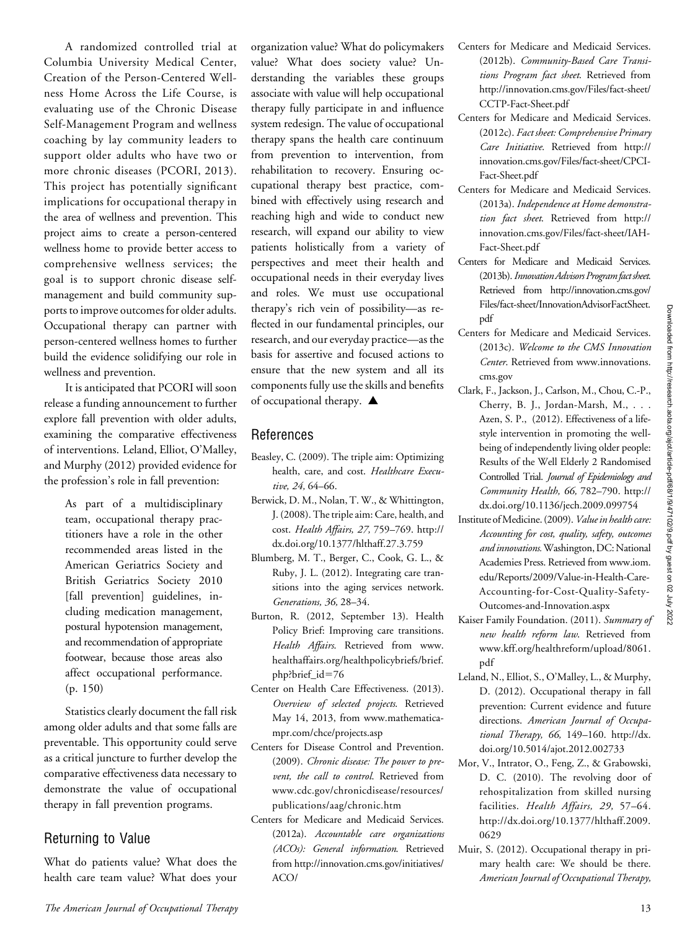A randomized controlled trial at Columbia University Medical Center, Creation of the Person-Centered Wellness Home Across the Life Course, is evaluating use of the Chronic Disease Self-Management Program and wellness coaching by lay community leaders to support older adults who have two or more chronic diseases (PCORI, 2013). This project has potentially significant implications for occupational therapy in the area of wellness and prevention. This project aims to create a person-centered wellness home to provide better access to comprehensive wellness services; the goal is to support chronic disease selfmanagement and build community supports to improve outcomes for older adults. Occupational therapy can partner with person-centered wellness homes to further build the evidence solidifying our role in wellness and prevention.

It is anticipated that PCORI will soon release a funding announcement to further explore fall prevention with older adults, examining the comparative effectiveness of interventions. Leland, Elliot, O'Malley, and Murphy (2012) provided evidence for the profession's role in fall prevention:

> As part of a multidisciplinary team, occupational therapy practitioners have a role in the other recommended areas listed in the American Geriatrics Society and British Geriatrics Society 2010 [fall prevention] guidelines, including medication management, postural hypotension management, and recommendation of appropriate footwear, because those areas also affect occupational performance. (p. 150)

Statistics clearly document the fall risk among older adults and that some falls are preventable. This opportunity could serve as a critical juncture to further develop the comparative effectiveness data necessary to demonstrate the value of occupational therapy in fall prevention programs.

#### Returning to Value

What do patients value? What does the health care team value? What does your organization value? What do policymakers value? What does society value? Understanding the variables these groups associate with value will help occupational therapy fully participate in and influence system redesign. The value of occupational therapy spans the health care continuum from prevention to intervention, from rehabilitation to recovery. Ensuring occupational therapy best practice, combined with effectively using research and reaching high and wide to conduct new research, will expand our ability to view patients holistically from a variety of perspectives and meet their health and occupational needs in their everyday lives and roles. We must use occupational therapy's rich vein of possibility—as reflected in our fundamental principles, our research, and our everyday practice—as the basis for assertive and focused actions to ensure that the new system and all its components fully use the skills and benefits of occupational therapy.  $\blacktriangle$ 

#### References

- Beasley, C. (2009). The triple aim: Optimizing health, care, and cost. Healthcare Executive, 24, 64-66.
- Berwick, D. M., Nolan, T. W., & Whittington, J. (2008). The triple aim: Care, health, and cost. Health Affairs, 27, 759–769. http:// dx.doi.org/10.1377/hlthaff.27.3.759
- Blumberg, M. T., Berger, C., Cook, G. L., & Ruby, J. L. (2012). Integrating care transitions into the aging services network. Generations, 36, 28–34.
- Burton, R. (2012, September 13). Health Policy Brief: Improving care transitions. Health Affairs. Retrieved from [www.](http://www.healthaffairs.org/healthpolicybriefs/brief.php?brief_id=76) [healthaffairs.org/healthpolicybriefs/brief.](http://www.healthaffairs.org/healthpolicybriefs/brief.php?brief_id=76) [php?brief\\_id](http://www.healthaffairs.org/healthpolicybriefs/brief.php?brief_id=76)=76
- Center on Health Care Effectiveness. (2013). Overview of selected projects. Retrieved May 14, 2013, from [www.mathematica](http://www.mathematica-mpr.com/chce/projects.asp)[mpr.com/chce/projects.asp](http://www.mathematica-mpr.com/chce/projects.asp)
- Centers for Disease Control and Prevention. (2009). Chronic disease: The power to prevent, the call to control. Retrieved from [www.cdc.gov/chronicdisease/resources/](http://www.cdc.gov/chronicdisease/resources/publications/aag/chronic.htm) [publications/aag/chronic.htm](http://www.cdc.gov/chronicdisease/resources/publications/aag/chronic.htm)
- Centers for Medicare and Medicaid Services. (2012a). Accountable care organizations (ACOs): General information. Retrieved from [http://innovation.cms.gov/initiatives/](http://innovation.cms.gov/initiatives/ACO/)  $ACO/$
- Centers for Medicare and Medicaid Services. (2012b). Community-Based Care Transitions Program fact sheet. Retrieved from [http://innovation.cms.gov/Files/fact-sheet/](http://innovation.cms.gov/Files/fact-sheet/CCTP-Fact-Sheet.pdf) [CCTP-Fact-Sheet.pdf](http://innovation.cms.gov/Files/fact-sheet/CCTP-Fact-Sheet.pdf)
- Centers for Medicare and Medicaid Services. (2012c). Fact sheet: Comprehensive Primary Care Initiative. Retrieved from [http://](http://innovation.cms.gov/Files/fact-sheet/CPCI-Fact-Sheet.pdf) [innovation.cms.gov/Files/fact-sheet/CPCI-](http://innovation.cms.gov/Files/fact-sheet/CPCI-Fact-Sheet.pdf)[Fact-Sheet.pdf](http://innovation.cms.gov/Files/fact-sheet/CPCI-Fact-Sheet.pdf)
- Centers for Medicare and Medicaid Services. (2013a). Independence at Home demonstration fact sheet. Retrieved from [http://](http://innovation.cms.gov/Files/fact-sheet/IAH-Fact-Sheet.pdf) [innovation.cms.gov/Files/fact-sheet/IAH-](http://innovation.cms.gov/Files/fact-sheet/IAH-Fact-Sheet.pdf)[Fact-Sheet.pdf](http://innovation.cms.gov/Files/fact-sheet/IAH-Fact-Sheet.pdf)
- Centers for Medicare and Medicaid Services. (2013b). Innovation Advisors Program fact sheet. Retrieved from [http://innovation.cms.gov/](http://innovation.cms.gov/Files/fact-sheet/InnovationAdvisorFactSheet.pdf) [Files/fact-sheet/InnovationAdvisorFactSheet.](http://innovation.cms.gov/Files/fact-sheet/InnovationAdvisorFactSheet.pdf) [pdf](http://innovation.cms.gov/Files/fact-sheet/InnovationAdvisorFactSheet.pdf)
- Centers for Medicare and Medicaid Services. (2013c). Welcome to the CMS Innovation Center. Retrieved from [www.innovations.](http://www.innovations.cms.gov) [cms.gov](http://www.innovations.cms.gov)
- Clark, F., Jackson, J., Carlson, M., Chou, C.-P., Cherry, B. J., Jordan-Marsh, M., . . . Azen, S. P., (2012). Effectiveness of a lifestyle intervention in promoting the wellbeing of independently living older people: Results of the Well Elderly 2 Randomised Controlled Trial. Journal of Epidemiology and Community Health, 66, 782–790. http:// dx.doi.org/10.1136/jech.2009.099754
- Institute of Medicine. (2009). Value in health care: Accounting for cost, quality, safety, outcomes and innovations.Washington, DC: National Academies Press. Retrieved from [www.iom.](http://www.iom.edu/Reports/2009/Value-in-Health-Care-Accounting-for-Cost-Quality-Safety-Outcomes-and-Innovation.aspx) [edu/Reports/2009/Value-in-Health-Care-](http://www.iom.edu/Reports/2009/Value-in-Health-Care-Accounting-for-Cost-Quality-Safety-Outcomes-and-Innovation.aspx)[Accounting-for-Cost-Quality-Safety-](http://www.iom.edu/Reports/2009/Value-in-Health-Care-Accounting-for-Cost-Quality-Safety-Outcomes-and-Innovation.aspx)[Outcomes-and-Innovation.aspx](http://www.iom.edu/Reports/2009/Value-in-Health-Care-Accounting-for-Cost-Quality-Safety-Outcomes-and-Innovation.aspx)
- Kaiser Family Foundation. (2011). Summary of new health reform law. Retrieved from [www.kff.org/healthreform/upload/8061.](www.kff.org/healthreform/upload/8061.pdf) [pdf](www.kff.org/healthreform/upload/8061.pdf)
- Leland, N., Elliot, S., O'Malley, L., & Murphy, D. (2012). Occupational therapy in fall prevention: Current evidence and future directions. American Journal of Occupational Therapy, 66, 149–160. http://dx. doi.org/10.5014/ajot.2012.002733
- Mor, V., Intrator, O., Feng, Z., & Grabowski, D. C. (2010). The revolving door of rehospitalization from skilled nursing facilities. Health Affairs, 29, 57–64. http://dx.doi.org/10.1377/hlthaff.2009. 0629
- Muir, S. (2012). Occupational therapy in primary health care: We should be there. American Journal of Occupational Therapy,